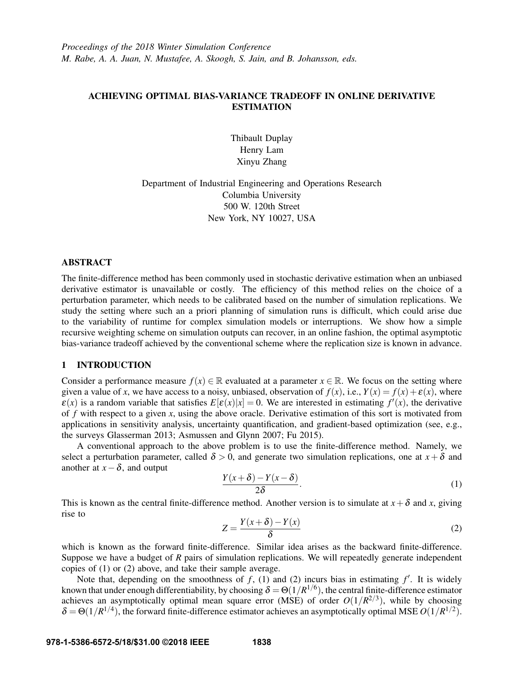# ACHIEVING OPTIMAL BIAS-VARIANCE TRADEOFF IN ONLINE DERIVATIVE **ESTIMATION**

Thibault Duplay Henry Lam Xinyu Zhang

Department of Industrial Engineering and Operations Research Columbia University 500 W. 120th Street New York, NY 10027, USA

## ABSTRACT

The finite-difference method has been commonly used in stochastic derivative estimation when an unbiased derivative estimator is unavailable or costly. The efficiency of this method relies on the choice of a perturbation parameter, which needs to be calibrated based on the number of simulation replications. We study the setting where such an a priori planning of simulation runs is difficult, which could arise due to the variability of runtime for complex simulation models or interruptions. We show how a simple recursive weighting scheme on simulation outputs can recover, in an online fashion, the optimal asymptotic bias-variance tradeoff achieved by the conventional scheme where the replication size is known in advance.

## 1 INTRODUCTION

Consider a performance measure  $f(x) \in \mathbb{R}$  evaluated at a parameter  $x \in \mathbb{R}$ . We focus on the setting where given a value of *x*, we have access to a noisy, unbiased, observation of  $f(x)$ , i.e.,  $Y(x) = f(x) + \varepsilon(x)$ , where  $\varepsilon(x)$  is a random variable that satisfies  $E[\varepsilon(x)|x] = 0$ . We are interested in estimating  $f'(x)$ , the derivative of *f* with respect to a given *x*, using the above oracle. Derivative estimation of this sort is motivated from applications in sensitivity analysis, uncertainty quantification, and gradient-based optimization (see, e.g., the surveys Glasserman 2013; Asmussen and Glynn 2007; Fu 2015).

A conventional approach to the above problem is to use the finite-difference method. Namely, we select a perturbation parameter, called  $\delta > 0$ , and generate two simulation replications, one at  $x + \delta$  and another at  $x - \delta$ , and output

$$
\frac{Y(x+\delta)-Y(x-\delta)}{2\delta}.
$$
 (1)

This is known as the central finite-difference method. Another version is to simulate at  $x + \delta$  and *x*, giving rise to

$$
Z = \frac{Y(x+\delta) - Y(x)}{\delta} \tag{2}
$$

which is known as the forward finite-difference. Similar idea arises as the backward finite-difference. Suppose we have a budget of *R* pairs of simulation replications. We will repeatedly generate independent copies of (1) or (2) above, and take their sample average.

Note that, depending on the smoothness of  $f$ , (1) and (2) incurs bias in estimating  $f'$ . It is widely known that under enough differentiability, by choosing  $\delta=\Theta(1/R^{1/6})$ , the central finite-difference estimator achieves an asymptotically optimal mean square error (MSE) of order  $O(1/R^{2/3})$ , while by choosing  $\delta = \Theta(1/R^{1/4})$ , the forward finite-difference estimator achieves an asymptotically optimal MSE  $O(1/R^{1/2})$ .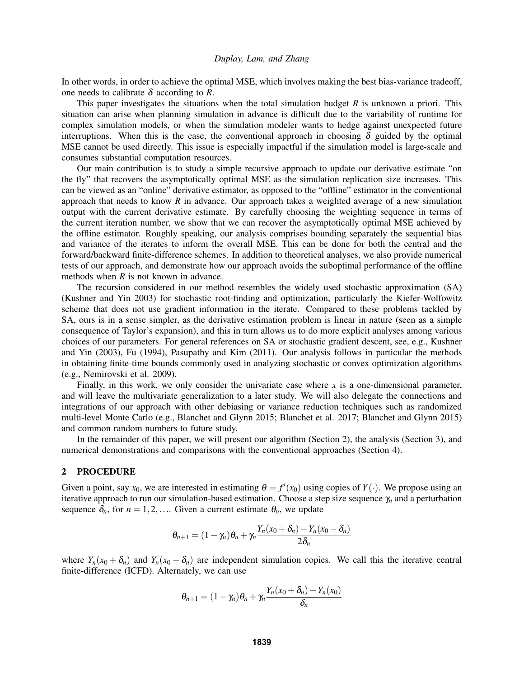In other words, in order to achieve the optimal MSE, which involves making the best bias-variance tradeoff, one needs to calibrate  $\delta$  according to *R*.

This paper investigates the situations when the total simulation budget *R* is unknown a priori. This situation can arise when planning simulation in advance is difficult due to the variability of runtime for complex simulation models, or when the simulation modeler wants to hedge against unexpected future interruptions. When this is the case, the conventional approach in choosing  $\delta$  guided by the optimal MSE cannot be used directly. This issue is especially impactful if the simulation model is large-scale and consumes substantial computation resources.

Our main contribution is to study a simple recursive approach to update our derivative estimate "on the fly" that recovers the asymptotically optimal MSE as the simulation replication size increases. This can be viewed as an "online" derivative estimator, as opposed to the "offline" estimator in the conventional approach that needs to know *R* in advance. Our approach takes a weighted average of a new simulation output with the current derivative estimate. By carefully choosing the weighting sequence in terms of the current iteration number, we show that we can recover the asymptotically optimal MSE achieved by the offline estimator. Roughly speaking, our analysis comprises bounding separately the sequential bias and variance of the iterates to inform the overall MSE. This can be done for both the central and the forward/backward finite-difference schemes. In addition to theoretical analyses, we also provide numerical tests of our approach, and demonstrate how our approach avoids the suboptimal performance of the offline methods when *R* is not known in advance.

The recursion considered in our method resembles the widely used stochastic approximation (SA) (Kushner and Yin 2003) for stochastic root-finding and optimization, particularly the Kiefer-Wolfowitz scheme that does not use gradient information in the iterate. Compared to these problems tackled by SA, ours is in a sense simpler, as the derivative estimation problem is linear in nature (seen as a simple consequence of Taylor's expansion), and this in turn allows us to do more explicit analyses among various choices of our parameters. For general references on SA or stochastic gradient descent, see, e.g., Kushner and Yin (2003), Fu (1994), Pasupathy and Kim (2011). Our analysis follows in particular the methods in obtaining finite-time bounds commonly used in analyzing stochastic or convex optimization algorithms (e.g., Nemirovski et al. 2009).

Finally, in this work, we only consider the univariate case where *x* is a one-dimensional parameter, and will leave the multivariate generalization to a later study. We will also delegate the connections and integrations of our approach with other debiasing or variance reduction techniques such as randomized multi-level Monte Carlo (e.g., Blanchet and Glynn 2015; Blanchet et al. 2017; Blanchet and Glynn 2015) and common random numbers to future study.

In the remainder of this paper, we will present our algorithm (Section 2), the analysis (Section 3), and numerical demonstrations and comparisons with the conventional approaches (Section 4).

## 2 PROCEDURE

Given a point, say  $x_0$ , we are interested in estimating  $\theta = f'(x_0)$  using copies of  $Y(\cdot)$ . We propose using an iterative approach to run our simulation-based estimation. Choose a step size sequence γ*<sup>n</sup>* and a perturbation sequence  $\delta_n$ , for  $n = 1, 2, \ldots$  Given a current estimate  $\theta_n$ , we update

$$
\theta_{n+1} = (1 - \gamma_n)\theta_n + \gamma_n \frac{Y_n(x_0 + \delta_n) - Y_n(x_0 - \delta_n)}{2\delta_n}
$$

where  $Y_n(x_0 + \delta_n)$  and  $Y_n(x_0 - \delta_n)$  are independent simulation copies. We call this the iterative central finite-difference (ICFD). Alternately, we can use

$$
\theta_{n+1} = (1 - \gamma_n)\theta_n + \gamma_n \frac{Y_n(x_0 + \delta_n) - Y_n(x_0)}{\delta_n}
$$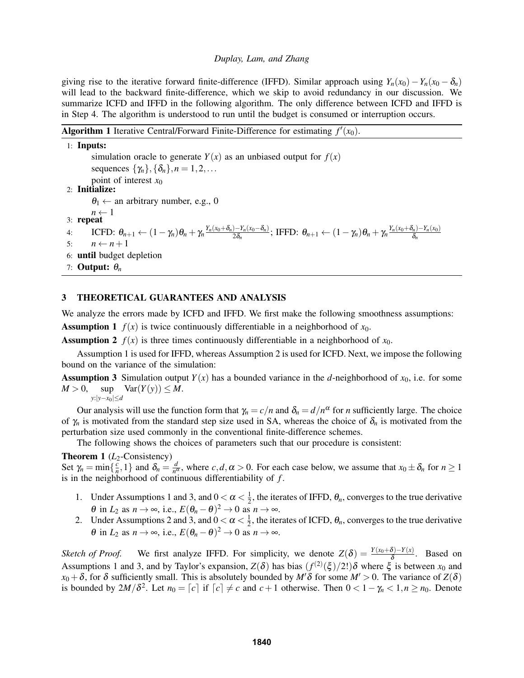giving rise to the iterative forward finite-difference (IFFD). Similar approach using  $Y_n(x_0) - Y_n(x_0 - \delta_n)$ will lead to the backward finite-difference, which we skip to avoid redundancy in our discussion. We summarize ICFD and IFFD in the following algorithm. The only difference between ICFD and IFFD is in Step 4. The algorithm is understood to run until the budget is consumed or interruption occurs.

|  |  |  | <b>Algorithm 1</b> Iterative Central/Forward Finite-Difference for estimating $f'(x_0)$ . |  |  |  |  |
|--|--|--|-------------------------------------------------------------------------------------------|--|--|--|--|
|--|--|--|-------------------------------------------------------------------------------------------|--|--|--|--|

| $1:$ Inputs:                                                                                                                                                                                                                                                      |
|-------------------------------------------------------------------------------------------------------------------------------------------------------------------------------------------------------------------------------------------------------------------|
| simulation oracle to generate $Y(x)$ as an unbiased output for $f(x)$                                                                                                                                                                                             |
| sequences $\{\gamma_n\}, \{\delta_n\}, n = 1, 2, \ldots$                                                                                                                                                                                                          |
| point of interest $x_0$                                                                                                                                                                                                                                           |
| $2:$ Initialize:                                                                                                                                                                                                                                                  |
| $\theta_1 \leftarrow$ an arbitrary number, e.g., 0                                                                                                                                                                                                                |
| 3: <b>repeat</b> $\begin{array}{c} n \leftarrow 1 \\ 1 \end{array}$                                                                                                                                                                                               |
| <b>ICFD:</b> $\theta_{n+1} \leftarrow (1 - \gamma_n)\theta_n + \gamma_n \frac{Y_n(x_0 + \delta_n) - Y_n(x_0 - \delta_n)}{2\delta}$ ; <b>IFFD:</b> $\theta_{n+1} \leftarrow (1 - \gamma_n)\theta_n + \gamma_n \frac{Y_n(x_0 + \delta_n) - Y_n(x_0)}{\delta}$<br>4: |
| $n \leftarrow n+1$<br>5:                                                                                                                                                                                                                                          |
| 6: <b>until</b> budget depletion                                                                                                                                                                                                                                  |
| 7: <b>Output:</b> $\theta_n$                                                                                                                                                                                                                                      |

# 3 THEORETICAL GUARANTEES AND ANALYSIS

We analyze the errors made by ICFD and IFFD. We first make the following smoothness assumptions:

**Assumption 1**  $f(x)$  is twice continuously differentiable in a neighborhood of  $x_0$ .

**Assumption 2**  $f(x)$  is three times continuously differentiable in a neighborhood of  $x_0$ .

Assumption 1 is used for IFFD, whereas Assumption 2 is used for ICFD. Next, we impose the following bound on the variance of the simulation:

**Assumption 3** Simulation output  $Y(x)$  has a bounded variance in the *d*-neighborhood of  $x_0$ , i.e. for some  $M > 0$ ,  $\text{sup} \quad \text{Var}(Y(y)) \leq M.$ 

*y*:|*y*−*x*0|≤*d*

Our analysis will use the function form that  $\gamma_n = c/n$  and  $\delta_n = d/n^{\alpha}$  for *n* sufficiently large. The choice of  $\gamma_n$  is motivated from the standard step size used in SA, whereas the choice of  $\delta_n$  is motivated from the perturbation size used commonly in the conventional finite-difference schemes.

The following shows the choices of parameters such that our procedure is consistent:

### Theorem 1 (*L*<sub>2</sub>-Consistency)

Set  $\gamma_n = \min\{\frac{c}{n}\}$  $\left\{\frac{c}{n}, 1\right\}$  and  $\delta_n = \frac{d}{n^c}$  $\frac{d}{n^{\alpha}}$ , where *c*,*d*,  $\alpha > 0$ . For each case below, we assume that  $x_0 \pm \delta_n$  for  $n \ge 1$ is in the neighborhood of continuous differentiability of *f* .

- 1. Under Assumptions 1 and 3, and  $0 < \alpha < \frac{1}{2}$  $\frac{1}{2}$ , the iterates of IFFD,  $\theta_n$ , converges to the true derivative  $\theta$  in  $L_2$  as  $n \to \infty$ , i.e.,  $E(\theta_n - \theta)^2 \to 0$  as  $n \to \infty$ .
- 2. Under Assumptions 2 and 3, and  $0 < \alpha < \frac{1}{2}$  $\frac{1}{2}$ , the iterates of ICFD,  $\theta_n$ , converges to the true derivative  $\theta$  in  $L_2$  as  $n \to \infty$ , i.e.,  $E(\theta_n - \theta)^2 \to 0$  as  $n \to \infty$ .

*Sketch of Proof.* We first analyze IFFD. For simplicity, we denote  $Z(\delta) = \frac{Y(x_0+\delta)-Y(x)}{\delta}$ . Based on Assumptions 1 and 3, and by Taylor's expansion,  $Z(\delta)$  has bias  $(f^{(2)}(\xi)/2!) \delta$  where  $\xi$  is between  $x_0$  and  $x_0 + \delta$ , for  $\delta$  sufficiently small. This is absolutely bounded by *M'* $\delta$  for some *M'* > 0. The variance of *Z*( $\delta$ ) is bounded by  $2M/\delta^2$ . Let  $n_0 = [c]$  if  $[c] \neq c$  and  $c+1$  otherwise. Then  $0 < 1 - \gamma_n < 1, n \geq n_0$ . Denote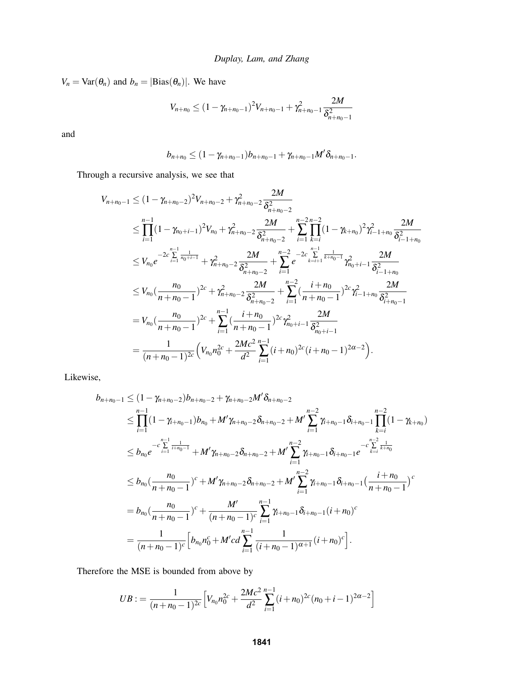$V_n = \text{Var}(\theta_n)$  and  $b_n = |\text{Bias}(\theta_n)|$ . We have

$$
V_{n+n_0} \le (1 - \gamma_{n+n_0-1})^2 V_{n+n_0-1} + \gamma_{n+n_0-1}^2 \frac{2M}{\delta_{n+n_0-1}^2}
$$

and

$$
b_{n+n_0}\leq (1-\gamma_{n+n_0-1})b_{n+n_0-1}+\gamma_{n+n_0-1}M'\delta_{n+n_0-1}.
$$

Through a recursive analysis, we see that

$$
V_{n+n_0-1} \leq (1 - \gamma_{n+n_0-2})^2 V_{n+n_0-2} + \gamma_{n+n_0-2}^2 \frac{2M}{\delta_{n+n_0-2}^2}
$$
  
\n
$$
\leq \prod_{i=1}^{n-1} (1 - \gamma_{n_0+i-1})^2 V_{n_0} + \gamma_{n+n_0-2}^2 \frac{2M}{\delta_{n+n_0-2}^2} + \sum_{i=1}^{n-2} \prod_{k=i}^{n-2} (1 - \gamma_{k+n_0})^2 \gamma_{i-1+n_0}^2 \frac{2M}{\delta_{i-1+n_0}^2}
$$
  
\n
$$
\leq V_{n_0} e^{-2c \sum_{i=1}^{n-1} \frac{1}{n_0+i-1}} + \gamma_{n+n_0-2}^2 \frac{2M}{\delta_{n+n_0-2}^2} + \sum_{i=1}^{n-2} e^{-2c \sum_{k=i+1}^{n-1} \frac{1}{k+n_0-1}} \gamma_{n_0+i-1}^2 \frac{2M}{\delta_{i-1+n_0}^2}
$$
  
\n
$$
\leq V_{n_0} (\frac{n_0}{n+n_0-1})^{2c} + \gamma_{n+n_0-2}^2 \frac{2M}{\delta_{n+n_0-2}^2} + \sum_{i=1}^{n-2} (\frac{i+n_0}{n+n_0-1})^{2c} \gamma_{i-1+n_0}^2 \frac{2M}{\delta_{i+n_0-1}^2}
$$
  
\n
$$
= V_{n_0} (\frac{n_0}{n+n_0-1})^{2c} + \sum_{i=1}^{n-1} (\frac{i+n_0}{n+n_0-1})^{2c} \gamma_{n_0+i-1}^2 \frac{2M}{\delta_{n_0+i-1}^2}
$$
  
\n
$$
= \frac{1}{(n+n_0-1)^{2c}} \Big( V_{n_0} n_0^{2c} + \frac{2Mc^2}{d^2} \sum_{i=1}^{n-1} (i+n_0)^{2c} (i+n_0-1)^{2\alpha-2} \Big).
$$

Likewise,

$$
b_{n+n_0-1} \leq (1 - \gamma_{n+n_0-2})b_{n+n_0-2} + \gamma_{n+n_0-2}M'\delta_{n+n_0-2}
$$
\n
$$
\leq \prod_{i=1}^{n-1} (1 - \gamma_{i+n_0-1})b_{n_0} + M'\gamma_{n+n_0-2}\delta_{n+n_0-2} + M'\sum_{i=1}^{n-2} \gamma_{i+n_0-1}\delta_{i+n_0-1}\prod_{k=i}^{n-2} (1 - \gamma_{k+n_0})
$$
\n
$$
\leq b_{n_0}e^{-c\sum_{i=1}^{n-1} \frac{1}{i+n_0-1}} + M'\gamma_{n+n_0-2}\delta_{n+n_0-2} + M'\sum_{i=1}^{n-2} \gamma_{i+n_0-1}\delta_{i+n_0-1}e^{-c\sum_{k=i}^{n-2} \frac{1}{k+n_0}}
$$
\n
$$
\leq b_{n_0}(\frac{n_0}{n+n_0-1})^c + M'\gamma_{n+n_0-2}\delta_{n+n_0-2} + M'\sum_{i=1}^{n-2} \gamma_{i+n_0-1}\delta_{i+n_0-1}(\frac{i+n_0}{n+n_0-1})^c
$$
\n
$$
= b_{n_0}(\frac{n_0}{n+n_0-1})^c + \frac{M'}{(n+n_0-1)^c} \sum_{i=1}^{n-1} \gamma_{i+n_0-1}\delta_{i+n_0-1}(i+n_0)^c
$$
\n
$$
= \frac{1}{(n+n_0-1)^c} \Big[b_{n_0}n_0^c + M'cd \sum_{i=1}^{n-1} \frac{1}{(i+n_0-1)^{\alpha+1}}(i+n_0)^c\Big].
$$

Therefore the MSE is bounded from above by

$$
UB := \frac{1}{(n+n_0-1)^{2c}} \Big[ V_{n_0} n_0^{2c} + \frac{2Mc^2}{d^2} \sum_{i=1}^{n-1} (i+n_0)^{2c} (n_0+i-1)^{2\alpha-2} \Big]
$$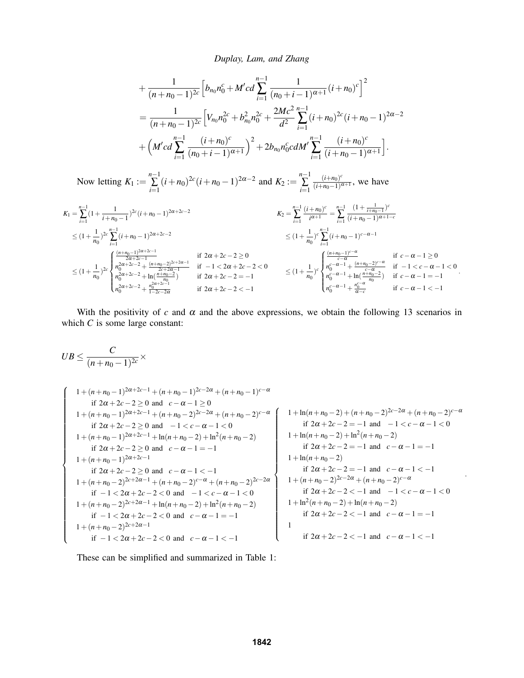$$
+\frac{1}{(n+n_{0}-1)^{2c}}\Big[b_{n_{0}}n_{0}^{c}+M'cd\sum_{i=1}^{n-1}\frac{1}{(n_{0}+i-1)^{\alpha+1}}(i+n_{0})^{c}\Big]^{2}
$$
  
=\frac{1}{(n+n\_{0}-1)^{2c}}\Big[V\_{n\_{0}}n\_{0}^{2c}+b\_{n\_{0}}^{2}n\_{0}^{2c}+\frac{2Mc^{2}}{d^{2}}\sum\_{i=1}^{n-1}(i+n\_{0})^{2c}(i+n\_{0}-1)^{2\alpha-2}  
+\left(M'cd\sum\_{i=1}^{n-1}\frac{(i+n\_{0})^{c}}{(n\_{0}+i-1)^{\alpha+1}}\right)^{2}+2b\_{n\_{0}}n\_{0}^{c}cdM'\sum\_{i=1}^{n-1}\frac{(i+n\_{0})^{c}}{(i+n\_{0}-1)^{\alpha+1}}\Big].

Now letting  $K_1 := \sum_{n=1}^{n-1}$  $\sum_{i=1}^{n-1} (i+n_0)^{2c} (i+n_0-1)^{2\alpha-2}$  and  $K_2 := \sum_{i=1}^{n-1}$ ∑ *i*=1  $(i+n_0)^c$  $\frac{(i+n_0)^2}{(i+n_0-1)^{\alpha+1}}$ , we have

$$
K_1 = \sum_{i=1}^{n-1} (1 + \frac{1}{i+n_0-1})^{2c} (i+n_0-1)^{2\alpha+2c-2}
$$
  
\n
$$
\leq (1 + \frac{1}{n_0})^{2c} \sum_{i=1}^{n-1} (i+n_0-1)^{2\alpha+2c-2}
$$
  
\n
$$
\leq (1 + \frac{1}{n_0})^{2c} \sum_{i=1}^{n-1} (i+n_0-1)^{2\alpha+2c-2}
$$
  
\n
$$
\leq (1 + \frac{1}{n_0})^{2c} \sum_{i=1}^{n-1} (i+n_0-1)^{2\alpha+2c-2}
$$
  
\n
$$
\leq (1 + \frac{1}{n_0})^{2c} \sum_{i=1}^{n-1} (i+n_0-1)^{2\alpha+2c-1}
$$
  
\n
$$
\leq (1 + \frac{1}{n_0})^{2c} \sum_{i=1}^{n-1} (i+n_0-1)^{2\alpha+2c-1}
$$
  
\n
$$
\leq (1 + \frac{1}{n_0})^{2c} \sum_{i=1}^{n-1} (i+n_0-1)^{c-\alpha-1}
$$
  
\n
$$
\leq (1 + \frac{1}{n_0})^{2c} \sum_{i=1}^{n-1} (i+n_0-2)^{2c+2\alpha-1}
$$
  
\n
$$
\leq (1 + \frac{1}{n_0})^c \sum_{i=1}^{n-1} \frac{(n+n_0-1)^{c-\alpha}}{c-\alpha}
$$
  
\n
$$
\leq (1 + \frac{1}{n_0})^c \sum_{i=1}^{n-1} \frac{(n+n_0-2)^{c-\alpha}}{c-\alpha}
$$
  
\n
$$
\leq (1 + \frac{1}{n_0})^c \sum_{i=1}^{n-1} \frac{(n+n_0-2)^{c-\alpha}}{c-\alpha}
$$
  
\n
$$
\leq (1 + \frac{1}{n_0})^c \sum_{i=1}^{n-1} \frac{(n+n_0-2)^{c-\alpha}}{c-\alpha}
$$
  
\n
$$
\leq (1 + \frac{1}{n_0})^c \sum_{i=1}^{n-1} \frac{(n+n_0-2)^{c-\alpha}}{c-\alpha}
$$

With the positivity of  $c$  and  $\alpha$  and the above expressions, we obtain the following 13 scenarios in which *C* is some large constant:

$$
UB \leq \frac{C}{(n+n_0-1)^{2c}} \times
$$

$$
\begin{cases}\n1 + (n + n_0 - 1)^{2\alpha + 2c - 1} + (n + n_0 - 1)^{2c - 2\alpha} + (n + n_0 - 1)^{c - \alpha} \\
\text{if } 2\alpha + 2c - 2 \ge 0 \text{ and } -1 < c - \alpha - 1 < 0 \\
1 + (n + n_0 - 1)^{2\alpha + 2c - 1} + \ln(n + n_0 - 2) + \ln^2(n + n_0 - 2) \\
\text{if } 2\alpha + 2c - 2 \ge 0 \text{ and } -1 < c - \alpha - 1 < 0\n\end{cases}
$$
\n
$$
\begin{cases}\n1 + \ln(n + n_0 - 2) + (n + n_0 - 2)^{2c - 2\alpha} + (n + n_0 - 2)^{2c - 2\alpha} + (n + n_0 - 2)^{c - \alpha} \\
\text{if } 2\alpha + 2c - 2 \ge 0 \text{ and } -1 < c - \alpha - 1 < 0\n\end{cases}
$$
\n
$$
\begin{cases}\n1 + \ln(n + n_0 - 2) + (n + n_0 - 2)^{2c - 2\alpha} + (n + n_0 - 2)^{2c - 2\alpha} + (n + n_0 - 2)^{2c - 2\alpha} \\
1 + (n + n_0 - 1)^{2\alpha + 2c - 1} + \ln(n + n_0 - 2) + \ln^2(n + n_0 - 2) \\
\text{if } 2\alpha + 2c - 2 = -1 \text{ and } c - \alpha - 1 = -1\n\end{cases}
$$
\n
$$
\begin{cases}\n1 + \ln(n + n_0 - 2) + (n + n_0 - 2)^{2c - 2\alpha} + (n + n_0 - 2)^{2c - 2\alpha} + (n + n_0 - 2)^{2c - 2\alpha} + (n + n_0 - 2)^{2c - 2\alpha} \\
1 + \ln(n + n_0 - 2) < 0 \\
1 + (n + n_0 - 2)^{2c + 2\alpha - 1} + \ln(n + n_0 - 2) + \ln^2(n + n_0 - 2) \\
1 + (n + n_0 - 2)^{2c + 2\alpha - 1} + \ln(n + n_0 - 2) + \ln^2(n + n_0 - 2) \\
1 + (n + n_0 -
$$

.

These can be simplified and summarized in Table 1: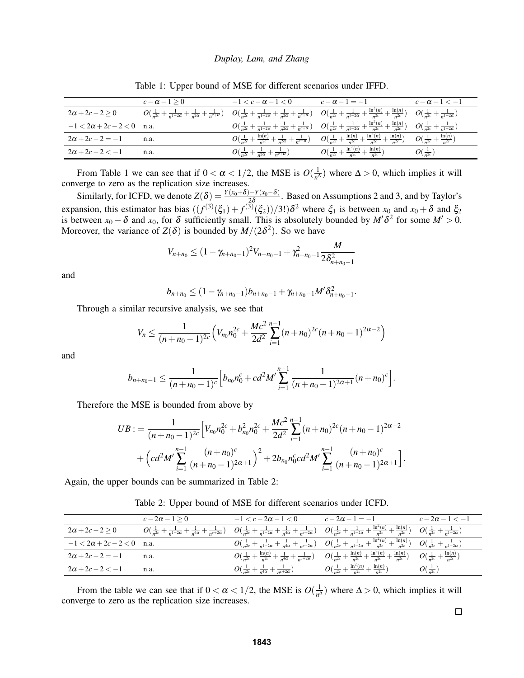|                                  | $c-\alpha-1>0$                                                                             | $-1 < c - \alpha - 1 < 0$                                                                | $c-\alpha-1=-1$                                                                                                                                                                          | $c-\alpha-1<-1$                                  |
|----------------------------------|--------------------------------------------------------------------------------------------|------------------------------------------------------------------------------------------|------------------------------------------------------------------------------------------------------------------------------------------------------------------------------------------|--------------------------------------------------|
| $2\alpha+2c-2>0$                 | $O(\frac{1}{n^{2c}}+\frac{1}{n^{1-2\alpha}}+\frac{1}{n^{2\alpha}}+\frac{1}{n^{c+\alpha}})$ |                                                                                          | $O(\frac{1}{n^{2c}}+\frac{1}{n^{1-2\alpha}}+\frac{1}{n^{2\alpha}}+\frac{1}{n^{c+\alpha}})$ $O(\frac{1}{n^{2c}}+\frac{1}{n^{1-2\alpha}}+\frac{\ln^{2}(n)}{n^{2c}}+\frac{\ln(n)}{n^{2c}})$ | $O(\frac{1}{n^{2c}}+\frac{1}{n^{1-2\alpha}})$    |
| $-1 < 2\alpha + 2c - 2 < 0$ n.a. |                                                                                            |                                                                                          | $O(\frac{1}{n^{2c}}+\frac{1}{n^{1-2\alpha}}+\frac{1}{n^{2\alpha}}+\frac{1}{n^{c+\alpha}})$ $O(\frac{1}{n^{2c}}+\frac{1}{n^{1-2\alpha}}+\frac{\ln^2(n)}{n^{2c}}+\frac{\ln(n)}{n^{2c}})$   | $O(\frac{1}{n^{2c}}+\frac{1}{n^{1-2\alpha}})$    |
| $2\alpha + 2c - 2 = -1$          | n.a.                                                                                       | $O(\frac{1}{n^{2c}}+\frac{\ln(n)}{n^{2c}}+\frac{1}{n^{2\alpha}}+\frac{1}{n^{c+\alpha}})$ | $O(\frac{1}{n^{2c}}+\frac{\ln(n)}{n^{2c}}+\frac{\ln^2(n)}{n^{2c}}+\frac{\ln(n)}{n^{2c}})$                                                                                                | $\frac{\ln(n)}{n^{2c}}$<br>$O(\frac{1}{n^{2c}}+$ |
| $2\alpha + 2c - 2 < -1$          | n.a.                                                                                       | $O(\frac{1}{n^{2c}}+\frac{1}{n^{2\alpha}}+\frac{1}{n^{c+\alpha}})$                       | $O(\frac{1}{n^{2c}}+\frac{\ln^2(n)}{n^{2c}})$<br>$+\frac{\ln(n)}{n^{2c}}$                                                                                                                | $O(\frac{1}{n^{2c}})$                            |

Table 1: Upper bound of MSE for different scenarios under IFFD.

From Table 1 we can see that if  $0 < \alpha < 1/2$ , the MSE is  $O(\frac{1}{n^{\Delta}})$  where  $\Delta > 0$ , which implies it will From Table 1 we can see that  $n \times \alpha \times 1/2$ , the MSE is  $\sigma_{n}$ <br>converge to zero as the replication size increases.

Similarly, for ICFD, we denote  $Z(\delta) = \frac{Y(x_0+\delta)-Y(x_0-\delta)}{2\delta}$ . Based on Assumptions 2 and 3, and by Taylor's expansion, this estimator has bias  $((f^{(3)}(\xi_1) + f^{(3)}(\xi_2))/3!) \delta^2$  where  $\xi_1$  is between  $x_0$  and  $x_0 + \delta$  and  $\xi_2$ is between  $x_0 - \delta$  and  $x_0$ , for  $\delta$  sufficiently small. This is absolutely bounded by  $M' \delta^2$  for some  $M' > 0$ . Moreover, the variance of  $Z(\delta)$  is bounded by  $M/(2\delta^2)$ . So we have

$$
V_{n+n_0} \leq (1 - \gamma_{n+n_0-1})^2 V_{n+n_0-1} + \gamma_{n+n_0-1}^2 \frac{M}{2 \delta_{n+n_0-1}^2}
$$

and

$$
b_{n+n_0}\leq (1-\gamma_{n+n_0-1})b_{n+n_0-1}+\gamma_{n+n_0-1}M'\delta_{n+n_0-1}^2.
$$

Through a similar recursive analysis, we see that

$$
V_n \leq \frac{1}{(n+n_0-1)^{2c}} \left( V_{n_0} n_0^{2c} + \frac{Mc^2}{2d^2} \sum_{i=1}^{n-1} (n+n_0)^{2c} (n+n_0-1)^{2\alpha-2} \right)
$$

and

$$
b_{n+n_0-1} \leq \frac{1}{(n+n_0-1)^c} \Big[ b_{n_0} n_0^c + c d^2 M' \sum_{i=1}^{n-1} \frac{1}{(n+n_0-1)^{2\alpha+1}} (n+n_0)^c \Big].
$$

Therefore the MSE is bounded from above by

$$
UB := \frac{1}{(n+n_0-1)^{2c}} \Big[ V_{n_0} n_0^{2c} + b_{n_0}^2 n_0^{2c} + \frac{Mc^2}{2d^2} \sum_{i=1}^{n-1} (n+n_0)^{2c} (n+n_0-1)^{2\alpha-2} + \Big( cd^2 M' \sum_{i=1}^{n-1} \frac{(n+n_0)^c}{(n+n_0-1)^{2\alpha+1}} \Big)^2 + 2b_{n_0} n_0^c cd^2 M' \sum_{i=1}^{n-1} \frac{(n+n_0)^c}{(n+n_0-1)^{2\alpha+1}} \Big].
$$

Again, the upper bounds can be summarized in Table 2:

Table 2: Upper bound of MSE for different scenarios under ICFD.

|                                  | $c-2\alpha-1>0$                                                                             | $-1 < c - 2\alpha - 1 < 0$                                                                      | $c-2\alpha-1=-1$                                                                                                                                                                        | $c - 2\alpha - 1 < -1$                        |
|----------------------------------|---------------------------------------------------------------------------------------------|-------------------------------------------------------------------------------------------------|-----------------------------------------------------------------------------------------------------------------------------------------------------------------------------------------|-----------------------------------------------|
| $2\alpha+2c-2>0$                 | $O(\frac{1}{n^{2c}}+\frac{1}{n^{1-2\alpha}}+\frac{1}{n^{4\alpha}}+\frac{1}{n^{c+2\alpha}})$ |                                                                                                 | $O(\frac{1}{n^{2c}}+\frac{1}{n^{1-2\alpha}}+\frac{1}{n^{4\alpha}}+\frac{1}{n^{c+2\alpha}})$ $O(\frac{1}{n^{2c}}+\frac{1}{n^{1-2\alpha}}+\frac{\ln^2(n)}{n^{2c}}+\frac{\ln(n)}{n^{2c}})$ | $O(\frac{1}{n^{2c}}+\frac{1}{n^{1-2\alpha}})$ |
| $-1 < 2\alpha + 2c - 2 < 0$ n.a. |                                                                                             |                                                                                                 | $O(\frac{1}{n^{2c}}+\frac{1}{n^{1-2\alpha}}+\frac{1}{n^{4\alpha}}+\frac{1}{n^{c+2\alpha}})$ $O(\frac{1}{n^{2c}}+\frac{1}{n^{1-2\alpha}}+\frac{\ln^2(n)}{n^{2c}}+\frac{\ln(n)}{n^{2c}})$ | $O(\frac{1}{n^{2c}}+\frac{1}{n^{1-2\alpha}})$ |
| $2\alpha + 2c - 2 = -1$          | n.a.                                                                                        | $O(\frac{1}{n^{2c}} + \frac{\ln(n)}{n^{2c}} + \frac{1}{n^{4\alpha}} + \frac{1}{n^{c+2\alpha}})$ | $O(\frac{1}{n^{2c}}+\frac{\ln(n)}{n^{2c}}+\frac{\ln^2(n)}{n^{2c}}+\frac{\ln(n)}{n^{2c}})$                                                                                               | ln(n)<br>$O(\frac{1}{n^{2c}}+$                |
| $2\alpha + 2c - 2 < -1$          | n.a.                                                                                        | $O(\frac{1}{n^{2c}} + \frac{1}{n^{4\alpha}} + \frac{1}{n^{c+2\alpha}})$                         | ln(n)<br>$-\frac{\ln^2(n)}{n^{2c}} + \frac{1}{2}$<br>$O(\frac{1}{n^{2c}} +$                                                                                                             | $O(\frac{1}{n^{2c}})$                         |

From the table we can see that if  $0 < \alpha < 1/2$ , the MSE is  $O(\frac{1}{n^2})$  $\frac{1}{n^{\Delta}}$ ) where  $\Delta > 0$ , which implies it will converge to zero as the replication size increases.

 $\Box$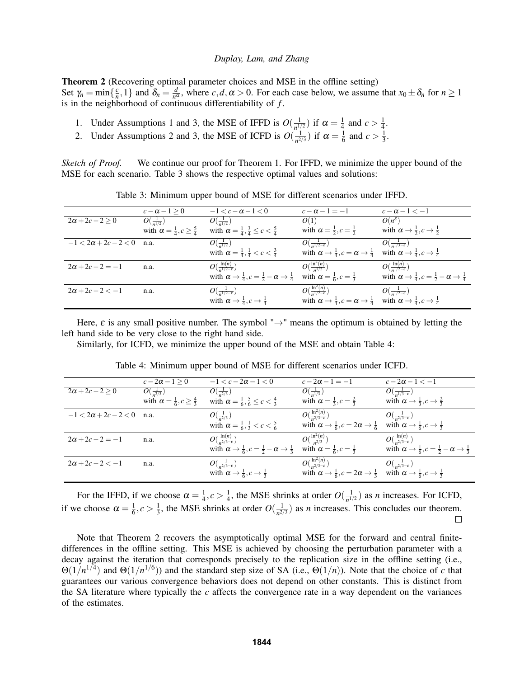Theorem 2 (Recovering optimal parameter choices and MSE in the offline setting) Set  $\gamma_n = \min\{\frac{c}{n}\}$  $\left\{\frac{c}{n}, 1\right\}$  and  $\delta_n = \frac{d}{n^c}$  $\frac{d}{n^{\alpha}}$ , where *c*,*d*,  $\alpha > 0$ . For each case below, we assume that  $x_0 \pm \delta_n$  for  $n \ge 1$ is in the neighborhood of continuous differentiability of *f* .

- 1. Under Assumptions 1 and 3, the MSE of IFFD is  $O(\frac{1}{n!})$  $\frac{1}{n^{1/2}}$ ) if  $\alpha = \frac{1}{4}$  $\frac{1}{4}$  and  $c > \frac{1}{4}$  $\frac{1}{4}$ .
- 2. Under Assumptions 2 and 3, the MSE of ICFD is  $O(\frac{1}{n^{2}})$  $\frac{1}{n^{2/3}}$ ) if  $\alpha = \frac{1}{6}$  $\frac{1}{6}$  and  $c > \frac{1}{3}$  $rac{1}{3}$ .

*Sketch of Proof.* We continue our proof for Theorem 1. For IFFD, we minimize the upper bound of the MSE for each scenario. Table 3 shows the respective optimal values and solutions:

|                                  | $c-\alpha-1>0$                                  | $-1 < c - \alpha - 1 < 0$                                                                  | $c-\alpha-1=-1$                                                                                                  | $c-\alpha-1<-1$                                                                            |
|----------------------------------|-------------------------------------------------|--------------------------------------------------------------------------------------------|------------------------------------------------------------------------------------------------------------------|--------------------------------------------------------------------------------------------|
| $2\alpha+2c-2>0$                 | $O(\frac{1}{n^{1/2}})$                          | $O(\frac{1}{n^{1/2}})$                                                                     | O(1)                                                                                                             | $O(n^{\varepsilon})$                                                                       |
|                                  | with $\alpha = \frac{1}{4}, c \geq \frac{5}{4}$ | with $\alpha = \frac{1}{4}, \frac{3}{4} \leq c < \frac{5}{4}$                              | with $\alpha = \frac{1}{2}, c = \frac{1}{2}$                                                                     | with $\alpha \rightarrow \frac{1}{2}, c \rightarrow \frac{1}{2}$                           |
| $-1 < 2\alpha + 2c - 2 < 0$ n.a. |                                                 | $O(\frac{1}{n^{1/2}})$                                                                     | $O(\frac{1}{n^{1/2-\epsilon}})$                                                                                  | $O(\frac{1}{n^{1/3-\epsilon}})$                                                            |
|                                  |                                                 | with $\alpha = \frac{1}{4}, \frac{1}{4} < c < \frac{3}{4}$                                 | with $\alpha \rightarrow \frac{1}{4}$ , $c = \alpha \rightarrow \frac{1}{4}$                                     | with $\alpha \rightarrow \frac{1}{4}, c \rightarrow \frac{1}{4}$                           |
| $2\alpha + 2c - 2 = -1$          | n.a.                                            | $O(\frac{\ln(n)}{n^{1/2-\epsilon}})$                                                       | $O(\frac{\ln^2(n)}{n^{1/2}})$                                                                                    | $O(\frac{\ln(n)}{n^{1/2-\epsilon}})$                                                       |
|                                  |                                                 | with $\alpha \rightarrow \frac{1}{4}$ , $c = \frac{1}{2} - \alpha \rightarrow \frac{1}{4}$ | with $\alpha = \frac{1}{6}, c = \frac{1}{3}$                                                                     | with $\alpha \rightarrow \frac{1}{4}$ , $c = \frac{1}{2} - \alpha \rightarrow \frac{1}{4}$ |
| $2\alpha + 2c - 2 < -1$          | n.a.                                            | $O(\frac{1}{n^{1/2-\epsilon}})$                                                            | $O(\frac{\ln^2(n)}{n^{1/2-\epsilon}})$                                                                           | $O(\frac{1}{n^{1/2-\epsilon}})$                                                            |
|                                  |                                                 | with $\alpha \rightarrow \frac{1}{4}, c \rightarrow \frac{1}{4}$                           | with $\alpha \to \frac{1}{4}$ , $c = \alpha \to \frac{1}{4}$ with $\alpha \to \frac{1}{4}$ , $c \to \frac{1}{4}$ |                                                                                            |

Table 3: Minimum upper bound of MSE for different scenarios under IFFD.

Here,  $\varepsilon$  is any small positive number. The symbol " $\rightarrow$ " means the optimum is obtained by letting the left hand side to be very close to the right hand side.

Similarly, for ICFD, we minimize the upper bound of the MSE and obtain Table 4:

|                                  | $c-2\alpha-1>0$                                 | $-1 < c - 2\alpha - 1 < 0$                                                                 | $c-2\alpha-1=-1$                                                              | $c-2\alpha-1<-1$                                                                           |
|----------------------------------|-------------------------------------------------|--------------------------------------------------------------------------------------------|-------------------------------------------------------------------------------|--------------------------------------------------------------------------------------------|
| $2\alpha+2c-2\geq 0$             | $O(\frac{1}{n^{2/3}})$                          | $O(\frac{1}{n^{2/3}})$                                                                     | $O(\frac{1}{n^{1/3}})$                                                        | $O(\frac{1}{n^{1/3-\epsilon}})$                                                            |
|                                  | with $\alpha = \frac{1}{6}, c \geq \frac{4}{3}$ | with $\alpha = \frac{1}{6}, \frac{5}{6} \leq c < \frac{4}{3}$                              | with $\alpha = \frac{1}{3}, c = \frac{2}{3}$                                  | with $\alpha \rightarrow \frac{1}{3}, c \rightarrow \frac{2}{3}$                           |
| $-1 < 2\alpha + 2c - 2 < 0$ n.a. |                                                 | $O(\frac{1}{n^{2/3}})$                                                                     | $O(\frac{\ln^2(n)}{n^{2/3-\epsilon}})$                                        | $O(\frac{1}{n^{2/3-\epsilon}})$                                                            |
|                                  |                                                 | with $\alpha = \frac{1}{6}, \frac{1}{3} < c < \frac{5}{6}$                                 | with $\alpha \rightarrow \frac{1}{6}$ , $c = 2\alpha \rightarrow \frac{1}{6}$ | with $\alpha \rightarrow \frac{1}{6}, c \rightarrow \frac{1}{3}$                           |
| $2\alpha + 2c - 2 = -1$          | n.a.                                            | $O(\frac{\ln(n)}{n^{2/3-\epsilon}})$                                                       | $O(\frac{\ln^2(n)}{n^{2/3}})$                                                 | $O(\frac{\ln(n)}{n^{2/3-\epsilon}})$                                                       |
|                                  |                                                 | with $\alpha \rightarrow \frac{1}{6}$ , $c = \frac{1}{2} - \alpha \rightarrow \frac{1}{3}$ | with $\alpha = \frac{1}{6}, c = \frac{1}{3}$                                  | with $\alpha \rightarrow \frac{1}{6}$ , $c = \frac{1}{2} - \alpha \rightarrow \frac{1}{3}$ |
| $2\alpha + 2c - 2 < -1$          | n.a.                                            | $O(\frac{1}{n^{2/3-\epsilon}})$                                                            | $O(\frac{\ln^2(n)}{n^{2/3-\epsilon}})$                                        | $O(\frac{1}{n^{2/3-\epsilon}})$                                                            |
|                                  |                                                 | with $\alpha \rightarrow \frac{1}{6}, c \rightarrow \frac{1}{3}$                           | with $\alpha \rightarrow \frac{1}{6}$ , $c = 2\alpha \rightarrow \frac{1}{3}$ | with $\alpha \rightarrow \frac{1}{6}, c \rightarrow \frac{1}{3}$                           |
|                                  |                                                 |                                                                                            |                                                                               |                                                                                            |

Table 4: Minimum upper bound of MSE for different scenarios under ICFD.

For the IFFD, if we choose  $\alpha = \frac{1}{4}$  $\frac{1}{4}, c > \frac{1}{4}$  $\frac{1}{4}$ , the MSE shrinks at order  $O(\frac{1}{n^{1/4}})$  $\frac{1}{n^{1/2}}$ ) as *n* increases. For ICFD, if we choose  $\alpha = \frac{1}{6}$  $\frac{1}{6}, c > \frac{1}{3}$  $\frac{1}{3}$ , the MSE shrinks at order  $O(\frac{1}{n^{2/3}})$  $\frac{1}{n^{2/3}}$  as *n* increases. This concludes our theorem.  $\Box$ 

Note that Theorem 2 recovers the asymptotically optimal MSE for the forward and central finitedifferences in the offline setting. This MSE is achieved by choosing the perturbation parameter with a decay against the iteration that corresponds precisely to the replication size in the offline setting (i.e.,  $\Theta(1/n^{1/4})$  and  $\Theta(1/n^{1/6})$ ) and the standard step size of SA (i.e.,  $\Theta(1/n)$ ). Note that the choice of *c* that guarantees our various convergence behaviors does not depend on other constants. This is distinct from the SA literature where typically the *c* affects the convergence rate in a way dependent on the variances of the estimates.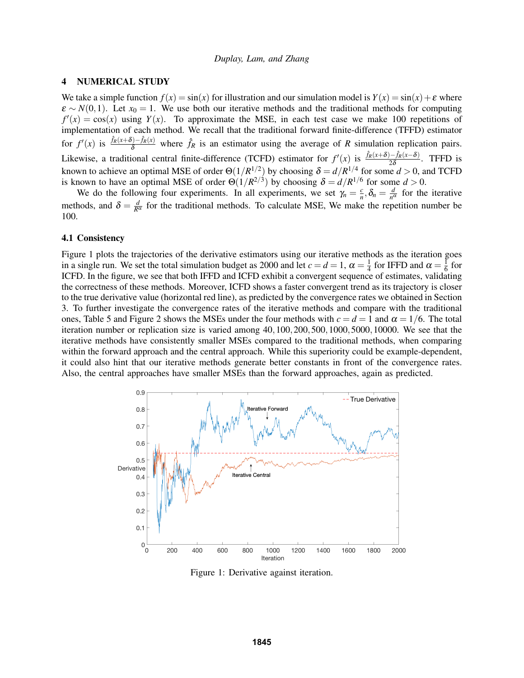## 4 NUMERICAL STUDY

We take a simple function  $f(x) = \sin(x)$  for illustration and our simulation model is  $Y(x) = \sin(x) + \varepsilon$  where  $\varepsilon \sim N(0,1)$ . Let  $x_0 = 1$ . We use both our iterative methods and the traditional methods for computing  $f'(x) = cos(x)$  using  $Y(x)$ . To approximate the MSE, in each test case we make 100 repetitions of implementation of each method. We recall that the traditional forward finite-difference (TFFD) estimator for  $f'(x)$  is  $\frac{\hat{f}_R(x+\delta)-\hat{f}_R(x)}{\delta}$  where  $\hat{f}_R$  is an estimator using the average of *R* simulation replication pairs. Likewise, a traditional central finite-difference (TCFD) estimator for  $f'(x)$  is  $\frac{\hat{f}_R(x+\delta)-\hat{f}_R(x-\delta)}{2\delta}$ . TFFD is known to achieve an optimal MSE of order  $\Theta(1/R^{1/2})$  by choosing  $\delta = d/R^{1/4}$  for some  $d > 0$ , and TCFD is known to have an optimal MSE of order  $\Theta(1/R^{2/3})$  by choosing  $\delta = d/R^{1/6}$  for some  $d > 0$ .

We do the following four experiments. In all experiments, we set  $\gamma_n = \frac{c}{n}$  $\frac{c}{n}, \delta_n = \frac{d}{n^d}$  $\frac{d}{n^{\alpha}}$  for the iterative methods, and  $\delta = \frac{d}{R^{\alpha}}$  for the traditional methods. To calculate MSE, We make the repetition number be 100.

#### 4.1 Consistency

Figure 1 plots the trajectories of the derivative estimators using our iterative methods as the iteration goes in a single run. We set the total simulation budget as 2000 and let  $c = d = 1$ ,  $\alpha = \frac{1}{4}$  $\frac{1}{4}$  for IFFD and  $\alpha = \frac{1}{6}$  $\frac{1}{6}$  for ICFD. In the figure, we see that both IFFD and ICFD exhibit a convergent sequence of estimates, validating the correctness of these methods. Moreover, ICFD shows a faster convergent trend as its trajectory is closer to the true derivative value (horizontal red line), as predicted by the convergence rates we obtained in Section 3. To further investigate the convergence rates of the iterative methods and compare with the traditional ones, Table 5 and Figure 2 shows the MSEs under the four methods with  $c = d = 1$  and  $\alpha = 1/6$ . The total iteration number or replication size is varied among 40,100,200,500,1000,5000,10000. We see that the iterative methods have consistently smaller MSEs compared to the traditional methods, when comparing within the forward approach and the central approach. While this superiority could be example-dependent, it could also hint that our iterative methods generate better constants in front of the convergence rates. Also, the central approaches have smaller MSEs than the forward approaches, again as predicted.



Figure 1: Derivative against iteration.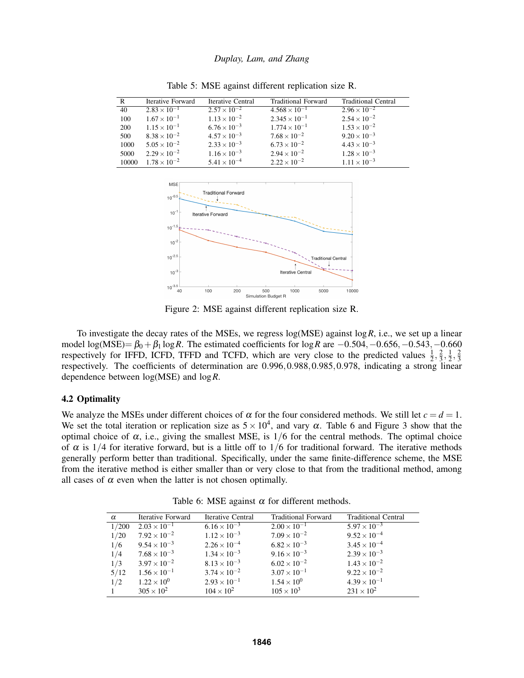| R     | Iterative Forward     | Iterative Central     | <b>Traditional Forward</b> | <b>Traditional Central</b> |
|-------|-----------------------|-----------------------|----------------------------|----------------------------|
| 40    | $2.83 \times 10^{-1}$ | $2.57 \times 10^{-2}$ | $4.568 \times 10^{-1}$     | $2.96 \times 10^{-2}$      |
| 100   | $1.67 \times 10^{-1}$ | $1.13 \times 10^{-2}$ | $2.345 \times 10^{-1}$     | $2.54 \times 10^{-2}$      |
| 200   | $1.15 \times 10^{-1}$ | $6.76 \times 10^{-3}$ | $1.774 \times 10^{-1}$     | $1.53 \times 10^{-2}$      |
| 500   | $8.38 \times 10^{-2}$ | $4.57 \times 10^{-3}$ | $7.68 \times 10^{-2}$      | $9.20 \times 10^{-3}$      |
| 1000  | $5.05 \times 10^{-2}$ | $2.33 \times 10^{-3}$ | $6.73 \times 10^{-2}$      | $4.43 \times 10^{-3}$      |
| 5000  | $2.29 \times 10^{-2}$ | $1.16 \times 10^{-3}$ | $2.94 \times 10^{-2}$      | $1.28 \times 10^{-3}$      |
| 10000 | $1.78 \times 10^{-2}$ | $5.41 \times 10^{-4}$ | $2.22 \times 10^{-2}$      | $1.11 \times 10^{-3}$      |

Table 5: MSE against different replication size R.



Figure 2: MSE against different replication size R.

To investigate the decay rates of the MSEs, we regress log(MSE) against log*R*, i.e., we set up a linear model log(MSE)=  $\beta_0 + \beta_1 \log R$ . The estimated coefficients for  $\log R$  are  $-0.504, -0.656, -0.543, -0.660$ respectively for IFFD, ICFD, TFFD and TCFD, which are very close to the predicted values  $\frac{1}{2}$ ,  $\frac{2}{3}$  $\frac{2}{3}, \frac{1}{2}$  $\frac{1}{2}, \frac{2}{3}$ 3 respectively. The coefficients of determination are 0.996,0.988,0.985,0.978, indicating a strong linear dependence between log(MSE) and log*R*.

# 4.2 Optimality

We analyze the MSEs under different choices of  $\alpha$  for the four considered methods. We still let  $c = d = 1$ . We set the total iteration or replication size as  $5 \times 10^4$ , and vary  $\alpha$ . Table 6 and Figure 3 show that the optimal choice of  $\alpha$ , i.e., giving the smallest MSE, is  $1/6$  for the central methods. The optimal choice of  $\alpha$  is 1/4 for iterative forward, but is a little off to 1/6 for traditional forward. The iterative methods generally perform better than traditional. Specifically, under the same finite-difference scheme, the MSE from the iterative method is either smaller than or very close to that from the traditional method, among all cases of  $\alpha$  even when the latter is not chosen optimally.

| $\alpha$ | Iterative Forward     | <b>Iterative Central</b> | <b>Traditional Forward</b> | <b>Traditional Central</b> |
|----------|-----------------------|--------------------------|----------------------------|----------------------------|
| 1/200    | $2.03 \times 10^{-1}$ | $6.16 \times 10^{-3}$    | $2.00 \times 10^{-1}$      | $5.97 \times 10^{-3}$      |
| 1/20     | $7.92 \times 10^{-2}$ | $1.12 \times 10^{-3}$    | $7.09 \times 10^{-2}$      | $9.52 \times 10^{-4}$      |
| 1/6      | $9.54 \times 10^{-3}$ | $2.26 \times 10^{-4}$    | $6.82 \times 10^{-3}$      | $3.45 \times 10^{-4}$      |
| 1/4      | $7.68 \times 10^{-3}$ | $1.34 \times 10^{-3}$    | $9.16 \times 10^{-3}$      | $2.39 \times 10^{-3}$      |
| 1/3      | $3.97 \times 10^{-2}$ | $8.13 \times 10^{-3}$    | $6.02 \times 10^{-2}$      | $1.43 \times 10^{-2}$      |
| 5/12     | $1.56 \times 10^{-1}$ | $3.74 \times 10^{-2}$    | $3.07 \times 10^{-1}$      | $9.22 \times 10^{-2}$      |
| 1/2      | $1.22 \times 10^{0}$  | $2.93 \times 10^{-1}$    | $1.54 \times 10^{0}$       | $4.39 \times 10^{-1}$      |
|          | $305 \times 10^{2}$   | $104 \times 10^{2}$      | $105 \times 10^{3}$        | $231 \times 10^{2}$        |

Table 6: MSE against  $\alpha$  for different methods.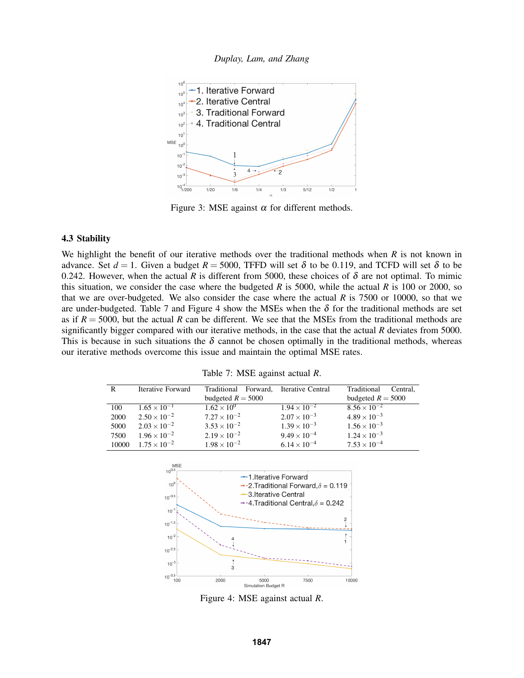



Figure 3: MSE against  $\alpha$  for different methods.

# 4.3 Stability

We highlight the benefit of our iterative methods over the traditional methods when *R* is not known in advance. Set  $d = 1$ . Given a budget  $R = 5000$ , TFFD will set  $\delta$  to be 0.119, and TCFD will set  $\delta$  to be 0.242. However, when the actual *R* is different from 5000, these choices of  $\delta$  are not optimal. To mimic this situation, we consider the case where the budgeted *R* is 5000, while the actual *R* is 100 or 2000, so that we are over-budgeted. We also consider the case where the actual *R* is 7500 or 10000, so that we are under-budgeted. Table 7 and Figure 4 show the MSEs when the  $\delta$  for the traditional methods are set as if  $R = 5000$ , but the actual R can be different. We see that the MSEs from the traditional methods are significantly bigger compared with our iterative methods, in the case that the actual *R* deviates from 5000. This is because in such situations the  $\delta$  cannot be chosen optimally in the traditional methods, whereas our iterative methods overcome this issue and maintain the optimal MSE rates.

|  |  |  | Table 7: MSE against actual R. |  |  |
|--|--|--|--------------------------------|--|--|
|--|--|--|--------------------------------|--|--|

| R     | Iterative Forward     | Forward,<br>Traditional | Iterative Central     | Traditional<br>Central. |
|-------|-----------------------|-------------------------|-----------------------|-------------------------|
|       |                       | budgeted $R = 5000$     |                       | budgeted $R = 5000$     |
| 100   | $1.65 \times 10^{-1}$ | $1.62 \times 10^{0}$    | $1.94 \times 10^{-2}$ | $8.56 \times 10^{-2}$   |
| 2000  | $2.50 \times 10^{-2}$ | $7.27 \times 10^{-2}$   | $2.07 \times 10^{-3}$ | $4.89 \times 10^{-3}$   |
| 5000  | $2.03 \times 10^{-2}$ | $3.53 \times 10^{-2}$   | $1.39 \times 10^{-3}$ | $1.56 \times 10^{-3}$   |
| 7500  | $1.96 \times 10^{-2}$ | $2.19 \times 10^{-2}$   | $9.49 \times 10^{-4}$ | $1.24 \times 10^{-3}$   |
| 10000 | $1.75 \times 10^{-2}$ | $1.98 \times 10^{-2}$   | $6.14 \times 10^{-4}$ | $7.53 \times 10^{-4}$   |



Figure 4: MSE against actual *R*.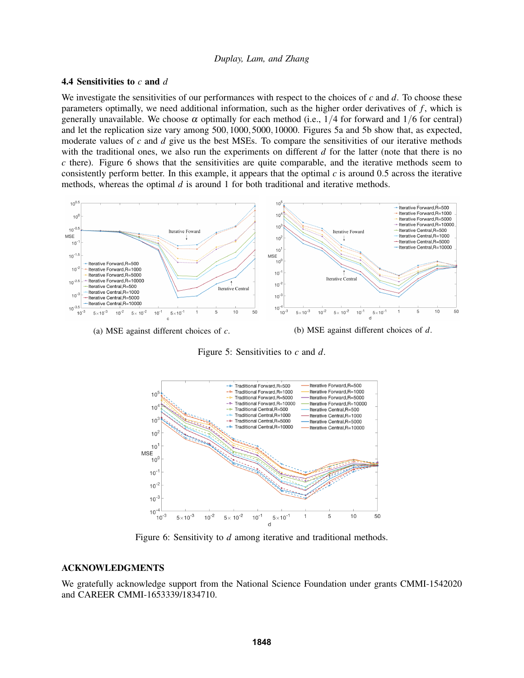# 4.4 Sensitivities to *c* and *d*

We investigate the sensitivities of our performances with respect to the choices of *c* and *d*. To choose these parameters optimally, we need additional information, such as the higher order derivatives of *f* , which is generally unavailable. We choose  $\alpha$  optimally for each method (i.e., 1/4 for forward and 1/6 for central) and let the replication size vary among 500,1000,5000,10000. Figures 5a and 5b show that, as expected, moderate values of *c* and *d* give us the best MSEs. To compare the sensitivities of our iterative methods with the traditional ones, we also run the experiments on different *d* for the latter (note that there is no *c* there). Figure 6 shows that the sensitivities are quite comparable, and the iterative methods seem to consistently perform better. In this example, it appears that the optimal *c* is around 0.5 across the iterative methods, whereas the optimal *d* is around 1 for both traditional and iterative methods.



Figure 5: Sensitivities to *c* and *d*.



Figure 6: Sensitivity to *d* among iterative and traditional methods.

# ACKNOWLEDGMENTS

We gratefully acknowledge support from the National Science Foundation under grants CMMI-1542020 and CAREER CMMI-1653339/1834710.